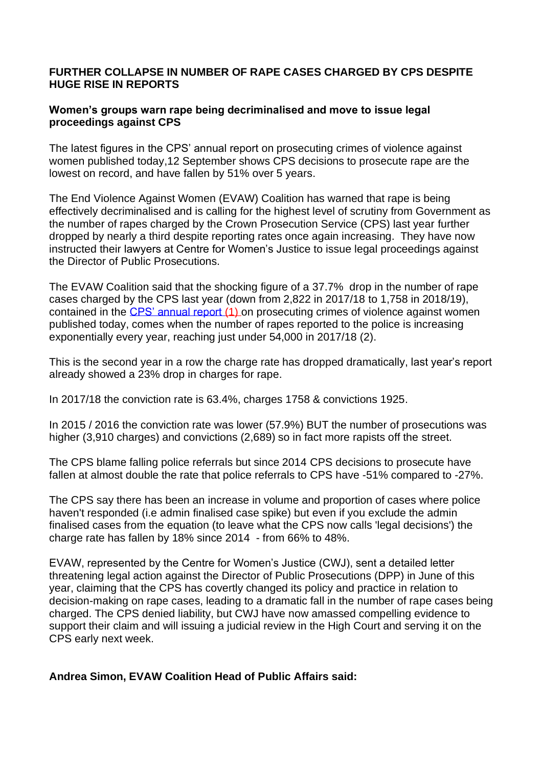#### **FURTHER COLLAPSE IN NUMBER OF RAPE CASES CHARGED BY CPS DESPITE HUGE RISE IN REPORTS**

## **Women's groups warn rape being decriminalised and move to issue legal proceedings against CPS**

The latest figures in the CPS' annual report on prosecuting crimes of violence against women published today,12 September shows CPS decisions to prosecute rape are the lowest on record, and have fallen by 51% over 5 years.

The End Violence Against Women (EVAW) Coalition has warned that rape is being effectively decriminalised and is calling for the highest level of scrutiny from Government as the number of rapes charged by the Crown Prosecution Service (CPS) last year further dropped by nearly a third despite reporting rates once again increasing. They have now instructed their lawyers at Centre for Women's Justice to issue legal proceedings against the Director of Public Prosecutions.

The EVAW Coalition said that the shocking figure of a 37.7% drop in the number of rape cases charged by the CPS last year (down from 2,822 in 2017/18 to 1,758 in 2018/19), contained in the [CPS' annual report](https://www.cps.gov.uk/sites/default/files/documents/publications/cps-vawg-report-2019.pdf) (1) on prosecuting crimes of violence against women published today, comes when the number of rapes reported to the police is increasing exponentially every year, reaching just under 54,000 in 2017/18 (2).

This is the second year in a row the charge rate has dropped dramatically, last year's report already showed a 23% drop in charges for rape.

In 2017/18 the conviction rate is 63.4%, charges 1758 & convictions 1925.

In 2015 / 2016 the conviction rate was lower (57.9%) BUT the number of prosecutions was higher (3,910 charges) and convictions (2,689) so in fact more rapists off the street.

The CPS blame falling police referrals but since 2014 CPS decisions to prosecute have fallen at almost double the rate that police referrals to CPS have -51% compared to -27%.

The CPS say there has been an increase in volume and proportion of cases where police haven't responded (i.e admin finalised case spike) but even if you exclude the admin finalised cases from the equation (to leave what the CPS now calls 'legal decisions') the charge rate has fallen by 18% since 2014 - from 66% to 48%.

EVAW, represented by the Centre for Women's Justice (CWJ), sent a detailed letter threatening legal action against the Director of Public Prosecutions (DPP) in June of this year, claiming that the CPS has covertly changed its policy and practice in relation to decision-making on rape cases, leading to a dramatic fall in the number of rape cases being charged. The CPS denied liability, but CWJ have now amassed compelling evidence to support their claim and will issuing a judicial review in the High Court and serving it on the CPS early next week.

## **Andrea Simon, EVAW Coalition Head of Public Affairs said:**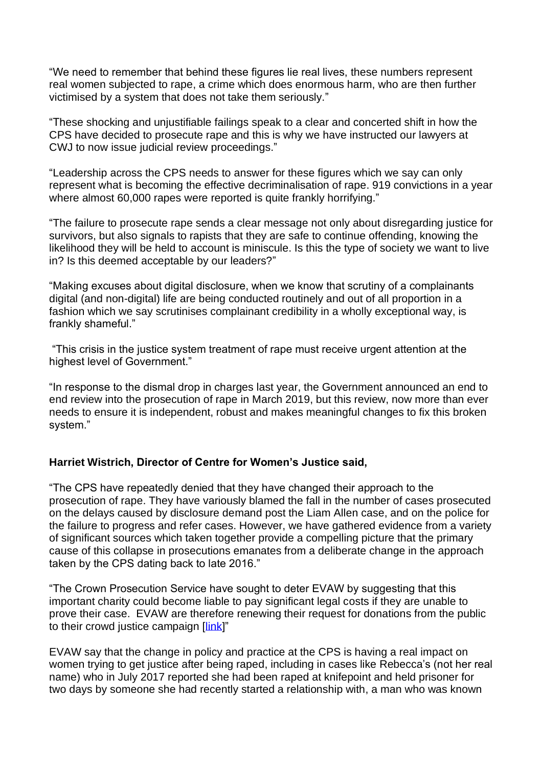"We need to remember that behind these figures lie real lives, these numbers represent real women subjected to rape, a crime which does enormous harm, who are then further victimised by a system that does not take them seriously."

"These shocking and unjustifiable failings speak to a clear and concerted shift in how the CPS have decided to prosecute rape and this is why we have instructed our lawyers at CWJ to now issue judicial review proceedings."

"Leadership across the CPS needs to answer for these figures which we say can only represent what is becoming the effective decriminalisation of rape. 919 convictions in a year where almost 60,000 rapes were reported is quite frankly horrifying."

"The failure to prosecute rape sends a clear message not only about disregarding justice for survivors, but also signals to rapists that they are safe to continue offending, knowing the likelihood they will be held to account is miniscule. Is this the type of society we want to live in? Is this deemed acceptable by our leaders?"

"Making excuses about digital disclosure, when we know that scrutiny of a complainants digital (and non-digital) life are being conducted routinely and out of all proportion in a fashion which we say scrutinises complainant credibility in a wholly exceptional way, is frankly shameful."

"This crisis in the justice system treatment of rape must receive urgent attention at the highest level of Government."

"In response to the dismal drop in charges last year, the Government announced an end to end review into the prosecution of rape in March 2019, but this review, now more than ever needs to ensure it is independent, robust and makes meaningful changes to fix this broken system."

## **Harriet Wistrich, Director of Centre for Women's Justice said,**

"The CPS have repeatedly denied that they have changed their approach to the prosecution of rape. They have variously blamed the fall in the number of cases prosecuted on the delays caused by disclosure demand post the Liam Allen case, and on the police for the failure to progress and refer cases. However, we have gathered evidence from a variety of significant sources which taken together provide a compelling picture that the primary cause of this collapse in prosecutions emanates from a deliberate change in the approach taken by the CPS dating back to late 2016."

"The Crown Prosecution Service have sought to deter EVAW by suggesting that this important charity could become liable to pay significant legal costs if they are unable to prove their case. EVAW are therefore renewing their request for donations from the public to their crowd justice campaign [\[link\]](https://www.crowdjustice.com/case/justice-after-rape/)"

EVAW say that the change in policy and practice at the CPS is having a real impact on women trying to get justice after being raped, including in cases like Rebecca's (not her real name) who in July 2017 reported she had been raped at knifepoint and held prisoner for two days by someone she had recently started a relationship with, a man who was known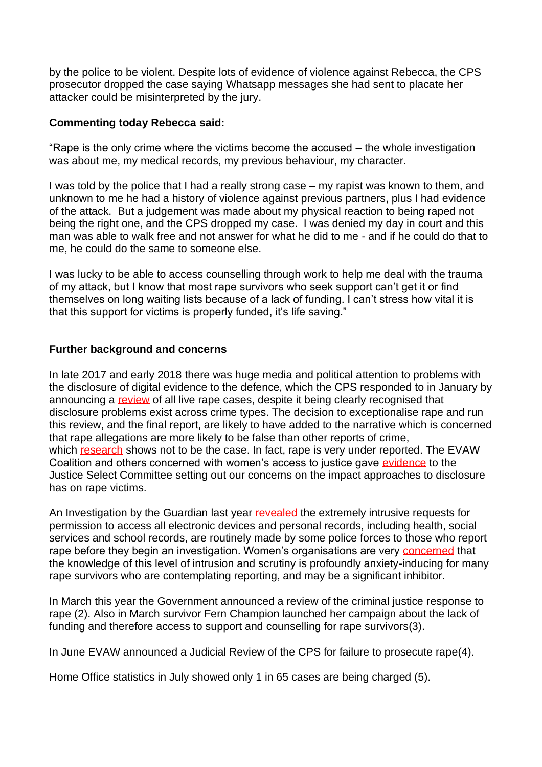by the police to be violent. Despite lots of evidence of violence against Rebecca, the CPS prosecutor dropped the case saying Whatsapp messages she had sent to placate her attacker could be misinterpreted by the jury.

## **Commenting today Rebecca said:**

"Rape is the only crime where the victims become the accused – the whole investigation was about me, my medical records, my previous behaviour, my character.

I was told by the police that I had a really strong case – my rapist was known to them, and unknown to me he had a history of violence against previous partners, plus I had evidence of the attack. But a judgement was made about my physical reaction to being raped not being the right one, and the CPS dropped my case. I was denied my day in court and this man was able to walk free and not answer for what he did to me - and if he could do that to me, he could do the same to someone else.

I was lucky to be able to access counselling through work to help me deal with the trauma of my attack, but I know that most rape survivors who seek support can't get it or find themselves on long waiting lists because of a lack of funding. I can't stress how vital it is that this support for victims is properly funded, it's life saving."

## **Further background and concerns**

In late 2017 and early 2018 there was huge media and political attention to problems with the disclosure of digital evidence to the defence, which the CPS responded to in January by announcing a [review](https://www.endviolenceagainstwomen.org.uk/disclosure-crisis-reveals-rape-investigations-are-still-all-about-victim-credibility/) of all live rape cases, despite it being clearly recognised that disclosure problems exist across crime types. The decision to exceptionalise rape and run this review, and the final report, are likely to have added to the narrative which is concerned that rape allegations are more likely to be false than other reports of crime, which [research](https://www.cps.gov.uk/sites/default/files/documents/legal_guidance/perverting-course-of-justice-march-2013.pdf) shows not to be the case. In fact, rape is very under reported. The EVAW Coalition and others concerned with women's access to justice gave [evidence](https://www.endviolenceagainstwomen.org.uk/evidence-disclosure-practice-risks-injustice-for-rape-victims/) to the Justice Select Committee setting out our concerns on the impact approaches to disclosure has on rape victims.

An Investigation by the Guardian last year [revealed](https://www.theguardian.com/society/2018/sep/25/revealed-uk-police-demanding-access-data-potential-rape-victims?CMP=share_btn_tw) the extremely intrusive requests for permission to access all electronic devices and personal records, including health, social services and school records, are routinely made by some police forces to those who report rape before they begin an investigation. Women's organisations are very [concerned](https://www.endviolenceagainstwomen.org.uk/postcode-lottery-foi-reveals-what-rape-victims-are-asked-to-sign-away-to-the-police/) that the knowledge of this level of intrusion and scrutiny is profoundly anxiety-inducing for many rape survivors who are contemplating reporting, and may be a significant inhibitor.

In March this year the Government announced a review of the criminal justice response to rape (2). Also in March survivor Fern Champion launched her campaign about the lack of funding and therefore access to support and counselling for rape survivors(3).

In June EVAW announced a Judicial Review of the CPS for failure to prosecute rape(4).

Home Office statistics in July showed only 1 in 65 cases are being charged (5).